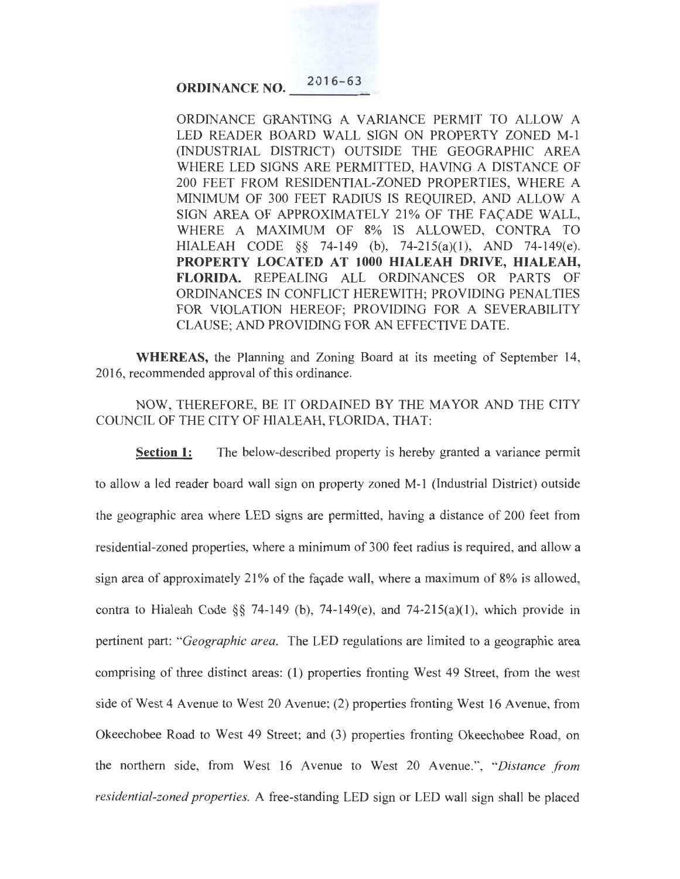**ORDINANCE NO.** 2016-63

ORDINANCE GRANTING A VARIANCE PERMIT TO ALLOW A LED READER BOARD WALL SIGN ON PROPERTY ZONED M-1 (INDUSTRIAL DISTRICT) OUTSIDE THE GEOGRAPHIC AREA WHERE LED SIGNS ARE PERMITTED, HAVING A DISTANCE OF 200 FEET FROM RESIDENTIAL-ZONED PROPERTIES, WHERE A MINIMUM OF 300 FEET RADIUS IS REQUIRED, AND ALLOW A SIGN AREA OF APPROXIMATELY 21% OF THE FACADE WALL, WHERE A MAXIMUM OF 8% IS ALLOWED, CONTRA TO HIALEAH CODE §§ 74-149 (b), 74-215(a)(l), AND 74-149(e). **PROPERTY LOCATED AT 1000 HIALEAH DRIVE, HIALEAH, FLORIDA.** REPEALING ALL ORDINANCES OR PARTS OF ORDINANCES IN CONFLICT HEREWITH; PROVIDING PENALTIES FOR VIOLATION HEREOF; PROVIDING FOR A SEVERABILITY CLAUSE; AND PROVIDING FOR AN EFFECTIVE DATE.

**WHEREAS,** the Planning and Zoning Board at its meeting of September 14, 2016, recommended approval of this ordinance.

NOW, THEREFORE, BE IT ORDAINED BY THE MAYOR AND THE CITY COUNCIL OF THE CITY OF HIALEAH, FLORIDA, THAT:

**Section 1:** The below-described property is hereby granted a variance permit to allow a led reader board wall sign on property zoned M-1 (Industrial District) outside the geographic area where LED signs are permitted, having a distance of 200 feet from residential-zoned properties, where a minimum of 300 feet radius is required, and allow a sign area of approximately 21% of the facade wall, where a maximum of  $8\%$  is allowed, contra to Hialeah Code §§ 74-149 (b), 74-149(e), and 74-215(a)(1), which provide in pertinent part: *"Geographic area.* The LED regulations are limited to a geographic area comprising of three distinct areas: (1) properties fronting West 49 Street, from the west side of West 4 Avenue to West 20 Avenue; (2) properties fronting West 16 Avenue, from Okeechobee Road to West 49 Street; and (3) properties fronting Okeechobee Road, on the northern side, from West 16 Avenue to West 20 Avenue.", *"Distance from residential-zoned properties.* A free-standing LED sign or LED wall sign shall be placed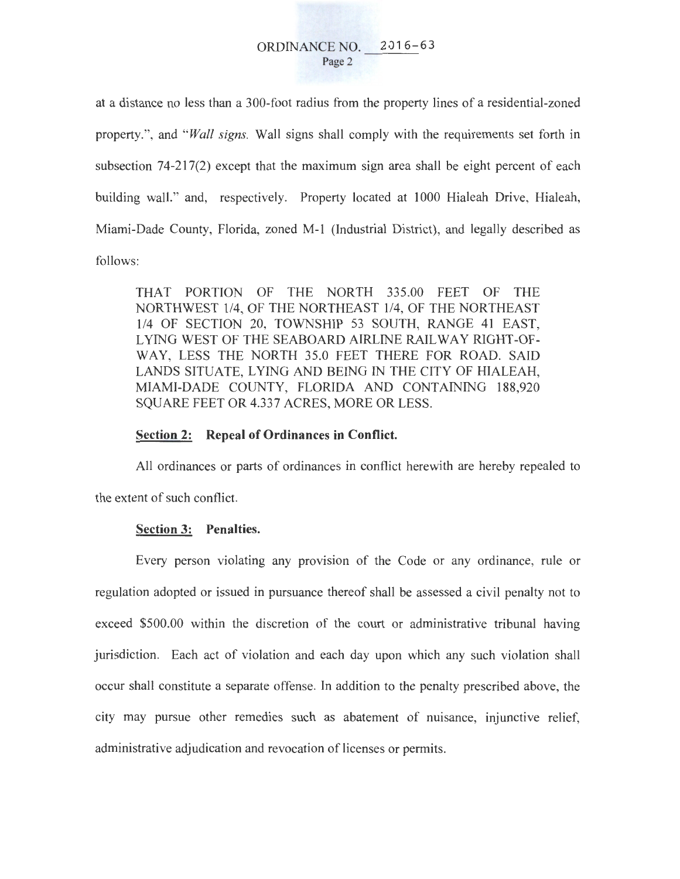at a distance no less than a 300-foot radius from the property lines of a residential-zoned property.", and *"Wall signs.* Wall signs shall comply with the requirements set forth in subsection 74-217(2) except that the maximum sign area shall be eight percent of each building wall." and, respectively. Property located at 1000 Hialeah Drive, Hialeah, Miami-Dade County, Florida, zoned M-1 (Industrial District), and legally described as follows:

THAT PORTION OF THE NORTH 335.00 FEET OF THE NORTHWEST 114, OF THE NORTHEAST 1/4, OF THE NORTHEAST 1/4 OF SECTION 20, TOWNSHIP 53 SOUTH, RANGE 41 EAST, LYING WEST OF THE SEABOARD AIRLINE RAILWAY RIGHT-OF-WAY, LESS THE NORTH 35.0 FEET THERE FOR ROAD. SAID LANDS SITUATE, LYING AND BEING IN THE CITY OF HIALEAH, MIAMI-DADE COUNTY, FLORIDA AND CONTAINING 188,920 SQUARE FEET OR 4.337 ACRES, MORE OR LESS.

## **Section 2: Repeal of Ordinances in Conflict.**

All ordinances or parts of ordinances in conflict herewith are hereby repealed to the extent of such conflict.

## **Section 3: Penalties.**

Every person violating any provision of the Code or any ordinance, rule or regulation adopted or issued in pursuance thereof shall be assessed a civil penalty not to exceed \$500.00 within the discretion of the court or administrative tribunal having jurisdiction. Each act of violation and each day upon which any such violation shall occur shall constitute a separate offense. In addition to the penalty prescribed above, the city may pursue other remedies such as abatement of nuisance, injunctive relief, administrative adjudication and revocation of licenses or permits.